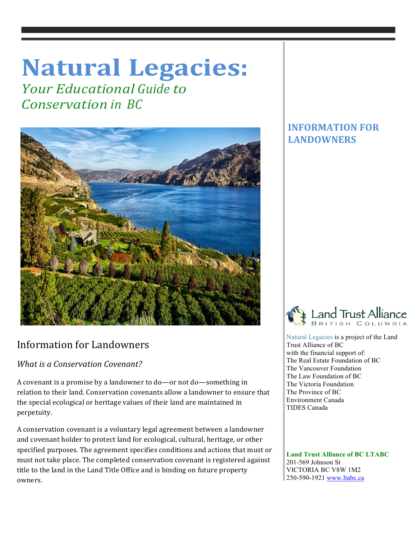# **Natural Legacies:**

*Your Educational Guide to Conservation in BC*



## Information for Landowners

*What is a Conservation Covenant?* 

A covenant is a promise by a landowner to do—or not do—something in relation to their land. Conservation covenants allow a landowner to ensure that the special ecological or heritage values of their land are maintained in perpetuity. 

A conservation covenant is a voluntary legal agreement between a landowner and covenant holder to protect land for ecological, cultural, heritage, or other specified purposes. The agreement specifies conditions and actions that must or must not take place. The completed conservation covenant is registered against title to the land in the Land Title Office and is binding on future property owners. 

### **INFORMATION FOR LANDOWNERS**



 Natural Legacies is a project of the Land Trust Alliance of BC with the financial support of: The Real Estate Foundation of BC The Vancouver Foundation The Law Foundation of BC The Victoria Foundation The Province of BC Environment Canada TIDES Canada

 **Land Trust Alliance of BC LTABC** 201-569 Johnson St VICTORIA BC V8W 1M2 250-590-1921 www.ltabc.ca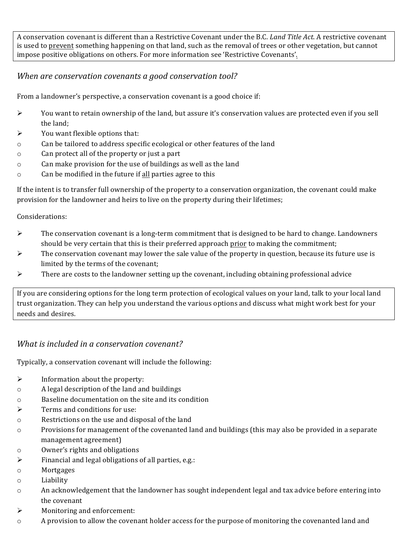A conservation covenant is different than a Restrictive Covenant under the B.C. *Land Title Act*. A restrictive covenant is used to prevent something happening on that land, such as the removal of trees or other vegetation, but cannot impose positive obligations on others. For more information see 'Restrictive Covenants'.

#### *When are conservation covenants a good conservation tool?*

From a landowner's perspective, a conservation covenant is a good choice if:

- $\triangleright$  You want to retain ownership of the land, but assure it's conservation values are protected even if you sell the land;
- $\triangleright$  You want flexible options that:
- $\circ$  Can be tailored to address specific ecological or other features of the land
- o Can protect all of the property or just a part
- $\circ$  Can make provision for the use of buildings as well as the land
- $\circ$  Can be modified in the future if all parties agree to this

If the intent is to transfer full ownership of the property to a conservation organization, the covenant could make provision for the landowner and heirs to live on the property during their lifetimes;

Considerations:

- $\triangleright$  The conservation covenant is a long-term commitment that is designed to be hard to change. Landowners should be very certain that this is their preferred approach prior to making the commitment;
- $\triangleright$  The conservation covenant may lower the sale value of the property in question, because its future use is limited by the terms of the covenant;
- $\triangleright$  There are costs to the landowner setting up the covenant, including obtaining professional advice

If you are considering options for the long term protection of ecological values on your land, talk to your local land trust organization. They can help you understand the various options and discuss what might work best for your needs and desires. 

#### *What is included in a conservation covenant?*

Typically, a conservation covenant will include the following:

- $\triangleright$  Information about the property:
- o A legal description of the land and buildings
- $\circ$  Baseline documentation on the site and its condition
- $\triangleright$  Terms and conditions for use:
- o Restrictions on the use and disposal of the land
- $\circ$  Provisions for management of the covenanted land and buildings (this may also be provided in a separate management agreement)
- o Owner's rights and obligations
- $\triangleright$  Financial and legal obligations of all parties, e.g.:
- o Mortgages
- o Liability
- $\circ$  An acknowledgement that the landowner has sought independent legal and tax advice before entering into the covenant
- $\triangleright$  Monitoring and enforcement:
- o A provision to allow the covenant holder access for the purpose of monitoring the covenanted land and